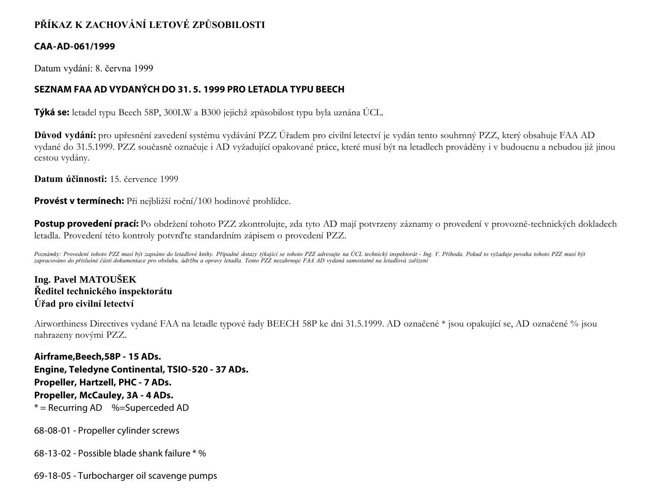## **PŘÍKAZ K ZACHOVÁNÍ LETOVÉ ZPŮSOBILOSTI**

## **CAA-AD-061/1999**

Datum vydání: 8. června 1999

## **SEZNAM FAA AD VYDANÝCH DO 31. 5. 1999 PRO LETADLA TYPU BEECH**

**Týká se:** letadel typu Beech 58P, 300LW a B300 jejichž způsobilost typu byla uznána ÚCL.

**Důvod vydání:** pro upřesnění zavedení systému vydávání PZZ Úřadem pro civilní letectví je vydán tento souhrnný PZZ, který obsahuje FAA AD vydané do 31.5.1999. PZZ současně označuje i AD vyžadující opakované práce, které musí být na letadlech prováděny i v budoucnu a nebudou již jinou cestou vydány.

**Datum účinnosti:** 15. července 1999

**Provést v termínech:** Při nejbližší roční/100 hodinové prohlídce.

**Postup provedení prací:** Po obdržení tohoto PZZ zkontrolujte, zda tyto AD mají potvrzeny záznamy o provedení v provozně-technických dokladech letadla. Provedení této kontroly potvrďte standardním zápisem o provedení PZZ.

*Poznámky: Provedení tohoto PZZ musí být zapsáno do letadlové knihy. Případné dotazy týkající se tohoto PZZ adresujte na ÚCL technický inspektorát - Ing. V. Příhoda. Pokud to vyžaduje povaha tohoto PZZ musí být zapracováno do příslušné části dokumentace pro obsluhu, údržbu a opravy letadla. Tento PZZ nezahrnuje FAA AD vydaná samostatně na letadlová zařízení*

**Ing. Pavel MATOUŠEK Ředitel technického inspektorátu Úřad pro civilní letectví**

Airworthiness Directives vydané FAA na letadle typové řady BEECH 58P ke dni 31.5.1999. AD označené \* jsou opakující se, AD označené % jsou nahrazeny novými PZZ.

**Airframe,Beech,58P - 15 ADs. Engine, Teledyne Continental, TSIO-520 - 37 ADs. Propeller, Hartzell, PHC - 7 ADs. Propeller, McCauley, 3A - 4 ADs.**  $*$  = Recurring AD %=Superceded AD

68-08-01 - Propeller cylinder screws

68-13-02 - Possible blade shank failure \* %

69-18-05 - Turbocharger oil scavenge pumps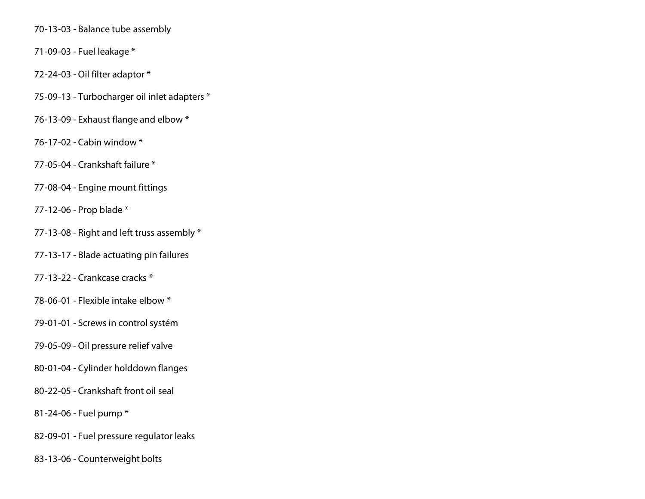70-13-03 - Balance tube assembly

- 71-09-03 Fuel leakage \*
- 72-24-03 Oil filter adaptor \*
- 75-09-13 Turbocharger oil inlet adapters \*
- 76-13-09 Exhaust flange and elbow \*
- 76-17-02 Cabin window \*
- 77-05-04 Crankshaft failure \*
- 77-08-04 Engine mount fittings
- 77-12-06 Prop blade \*
- 77-13-08 Right and left truss assembly \*
- 77-13-17 Blade actuating pin failures
- 77-13-22 Crankcase cracks \*
- 78-06-01 Flexible intake elbow \*
- 79-01-01 Screws in control systém
- 79-05-09 Oil pressure relief valve
- 80-01-04 Cylinder holddown flanges
- 80-22-05 Crankshaft front oil seal
- 81-24-06 Fuel pump \*
- 82-09-01 Fuel pressure regulator leaks
- 83-13-06 Counterweight bolts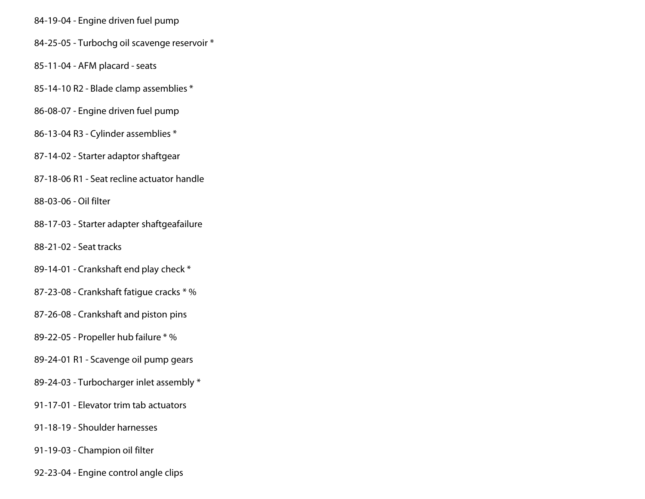84-19-04 - Engine driven fuel pump

- 84-25-05 Turbochg oil scavenge reservoir \*
- 85-11-04 AFM placard seats
- 85-14-10 R2 Blade clamp assemblies \*
- 86-08-07 Engine driven fuel pump
- 86-13-04 R3 Cylinder assemblies \*
- 87-14-02 Starter adaptor shaftgear
- 87-18-06 R1 Seat recline actuator handle
- 88-03-06 Oil filter
- 88-17-03 Starter adapter shaftgeafailure
- 88-21-02 Seat tracks
- 89-14-01 Crankshaft end play check \*
- 87-23-08 Crankshaft fatigue cracks \* %
- 87-26-08 Crankshaft and piston pins
- 89-22-05 Propeller hub failure \* %
- 89-24-01 R1 Scavenge oil pump gears
- 89-24-03 Turbocharger inlet assembly \*
- 91-17-01 Elevator trim tab actuators
- 91-18-19 Shoulder harnesses
- 91-19-03 Champion oil filter
- 92-23-04 Engine control angle clips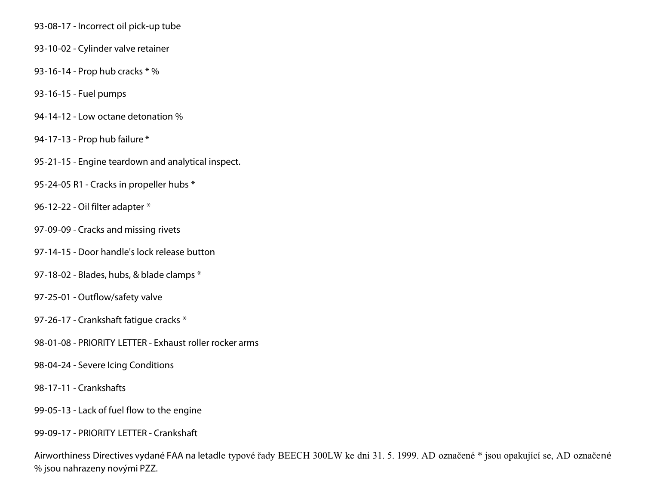93-08-17 - Incorrect oil pick-up tube

- 93-10-02 Cylinder valve retainer
- 93-16-14 Prop hub cracks \* %
- 93-16-15 Fuel pumps
- 94-14-12 Low octane detonation %
- 94-17-13 Prop hub failure \*
- 95-21-15 Engine teardown and analytical inspect.
- 95-24-05 R1 Cracks in propeller hubs \*
- 96-12-22 Oil filter adapter \*
- 97-09-09 Cracks and missing rivets
- 97-14-15 Door handle's lock release button
- 97-18-02 Blades, hubs, & blade clamps \*
- 97-25-01 Outflow/safety valve
- 97-26-17 Crankshaft fatigue cracks \*
- 98-01-08 PRIORITY LETTER Exhaust roller rocker arms
- 98-04-24 Severe Icing Conditions
- 98-17-11 Crankshafts
- 99-05-13 Lack of fuel flow to the engine
- 99-09-17 PRIORITY LETTER Crankshaft

Airworthiness Directives vydané FAA na letadle typové řady BEECH 300LW ke dni 31. 5. 1999. AD označené \* jsou opakující se, AD označené % jsou nahrazeny novými PZZ.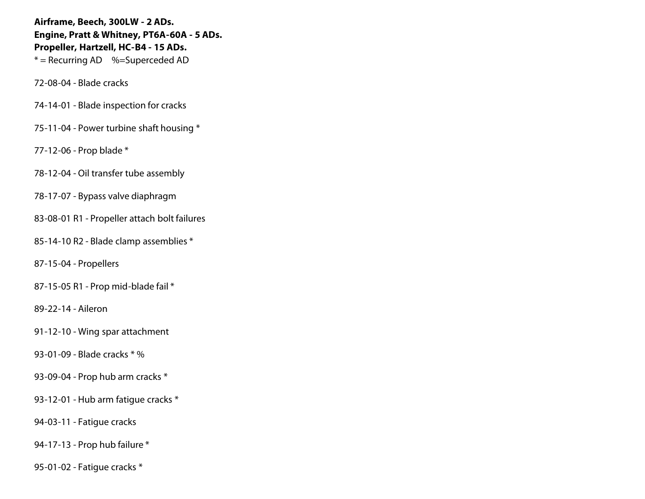## **Airframe, Beech, 300LW - 2 ADs. Engine, Pratt & Whitney, PT6A-60A - 5 ADs. Propeller, Hartzell, HC-B4 - 15 ADs.**

\* = Recurring AD %=Superceded AD

72-08-04 - Blade cracks

- 74-14-01 Blade inspection for cracks
- 75-11-04 Power turbine shaft housing \*
- 77-12-06 Prop blade \*
- 78-12-04 Oil transfer tube assembly
- 78-17-07 Bypass valve diaphragm
- 83-08-01 R1 Propeller attach bolt failures
- 85-14-10 R2 Blade clamp assemblies \*
- 87-15-04 Propellers
- 87-15-05 R1 Prop mid-blade fail \*
- 89-22-14 Aileron
- 91-12-10 Wing spar attachment
- 93-01-09 Blade cracks \* %
- 93-09-04 Prop hub arm cracks \*
- 93-12-01 Hub arm fatigue cracks \*
- 94-03-11 Fatigue cracks
- 94-17-13 Prop hub failure \*
- 95-01-02 Fatigue cracks \*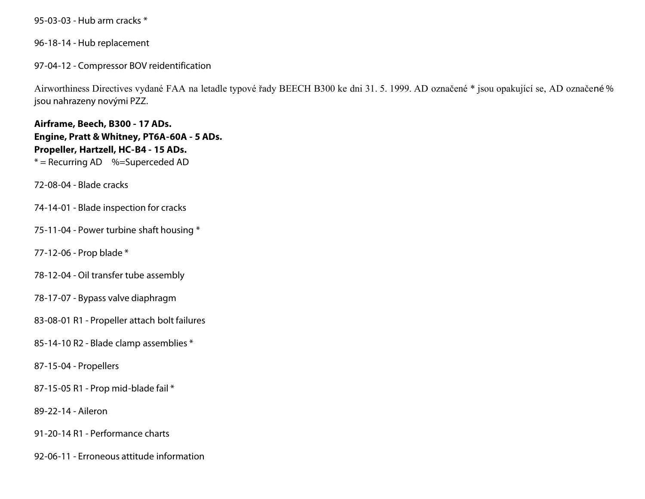95-03-03 - Hub arm cracks \*

96-18-14 - Hub replacement

97-04-12 - Compressor BOV reidentification

Airworthiness Directives vydané FAA na letadle typové řady BEECH B300 ke dni 31. 5. 1999. AD označené \* jsou opakující se, AD označené % jsou nahrazeny novými PZZ.

**Airframe, Beech, B300 - 17 ADs. Engine, Pratt & Whitney, PT6A-60A - 5 ADs. Propeller, Hartzell, HC-B4 - 15 ADs.**

\* = Recurring AD %=Superceded AD

72-08-04 - Blade cracks

- 74-14-01 Blade inspection for cracks
- 75-11-04 Power turbine shaft housing \*
- 77-12-06 Prop blade \*
- 78-12-04 Oil transfer tube assembly
- 78-17-07 Bypass valve diaphragm
- 83-08-01 R1 Propeller attach bolt failures
- 85-14-10 R2 Blade clamp assemblies \*
- 87-15-04 Propellers
- 87-15-05 R1 Prop mid-blade fail \*
- 89-22-14 Aileron
- 91-20-14 R1 Performance charts
- 92-06-11 Erroneous attitude information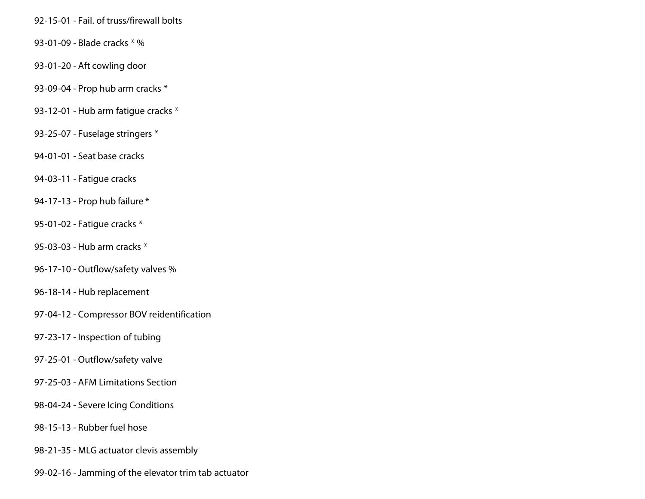92-15-01 - Fail. of truss/firewall bolts

- 93-01-09 Blade cracks \* %
- 93-01-20 Aft cowling door
- 93-09-04 Prop hub arm cracks \*
- 93-12-01 Hub arm fatigue cracks \*
- 93-25-07 Fuselage stringers \*
- 94-01-01 Seat base cracks
- 94-03-11 Fatigue cracks
- 94-17-13 Prop hub failure \*
- 95-01-02 Fatigue cracks \*
- 95-03-03 Hub arm cracks \*
- 96-17-10 Outflow/safety valves %
- 96-18-14 Hub replacement
- 97-04-12 Compressor BOV reidentification
- 97-23-17 Inspection of tubing
- 97-25-01 Outflow/safety valve
- 97-25-03 AFM Limitations Section
- 98-04-24 Severe Icing Conditions
- 98-15-13 Rubber fuel hose
- 98-21-35 MLG actuator clevis assembly
- 99-02-16 Jamming of the elevator trim tab actuator